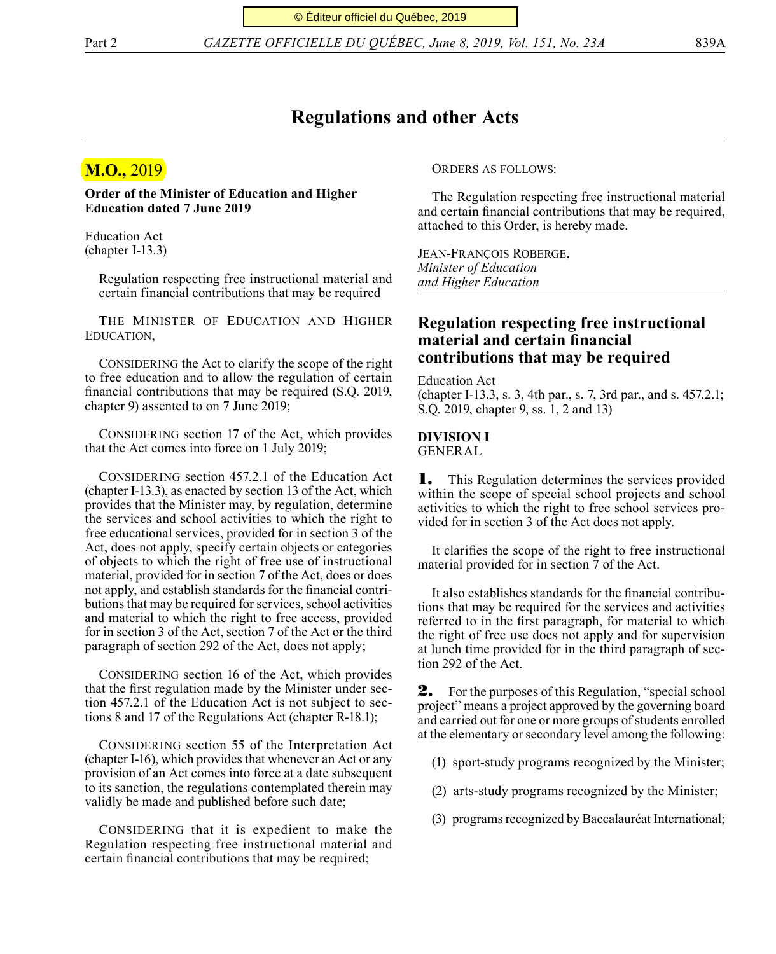Part 2 *GAZETTE OFFICIELLE DU QUÉBEC, June 8, 2019, Vol. 151, No. 23A* 839A

### **Regulations and other Acts**

## **M.O.,** 2019

**Order of the Minister of Education and Higher Education dated 7 June 2019**

Education Act (chapter I-13.3)

> Regulation respecting free instructional material and certain financial contributions that may be required

The Minister of Education and Higher Education,

CONSIDERING the Act to clarify the scope of the right to free education and to allow the regulation of certain financial contributions that may be required (S.Q. 2019, chapter 9) assented to on 7 June 2019;

CONSIDERING section 17 of the Act, which provides that the Act comes into force on 1 July 2019;

CONSIDERING section 457.2.1 of the Education Act (chapter I-13.3), as enacted by section 13 of the Act, which provides that the Minister may, by regulation, determine the services and school activities to which the right to free educational services, provided for in section 3 of the Act, does not apply, specify certain objects or categories of objects to which the right of free use of instructional material, provided for in section 7 of the Act, does or does not apply, and establish standards for the financial contributions that may be required for services, school activities and material to which the right to free access, provided for in section 3 of the Act, section 7 of the Act or the third paragraph of section 292 of the Act, does not apply;

CONSIDERING section 16 of the Act, which provides that the first regulation made by the Minister under section 457.2.1 of the Education Act is not subject to sections 8 and 17 of the Regulations Act (chapter R-18.1);

CONSIDERING section 55 of the Interpretation Act (chapter I-16), which provides that whenever an Act or any provision of an Act comes into force at a date subsequent to its sanction, the regulations contemplated therein may validly be made and published before such date;

CONSIDERING that it is expedient to make the Regulation respecting free instructional material and certain financial contributions that may be required;

Orders as follows:

The Regulation respecting free instructional material and certain financial contributions that may be required, attached to this Order, is hereby made.

Jean-François Roberge, *Minister of Education and Higher Education*

### **Regulation respecting free instructional material and certain financial contributions that may be required**

Education Act (chapter I-13.3, s. 3, 4th par., s. 7, 3rd par., and s. 457.2.1; S.Q. 2019, chapter 9, ss. 1, 2 and 13)

# **DIVISION I**

GENERAL

1. This Regulation determines the services provided within the scope of special school projects and school activities to which the right to free school services provided for in section 3 of the Act does not apply.

It clarifies the scope of the right to free instructional material provided for in section 7 of the Act.

It also establishes standards for the financial contributions that may be required for the services and activities referred to in the first paragraph, for material to which the right of free use does not apply and for supervision at lunch time provided for in the third paragraph of section 292 of the Act.

2. For the purposes of this Regulation, "special school project" means a project approved by the governing board and carried out for one or more groups of students enrolled at the elementary or secondary level among the following:

- (1) sport-study programs recognized by the Minister;
- (2) arts-study programs recognized by the Minister;
- (3) programs recognized by Baccalauréat International;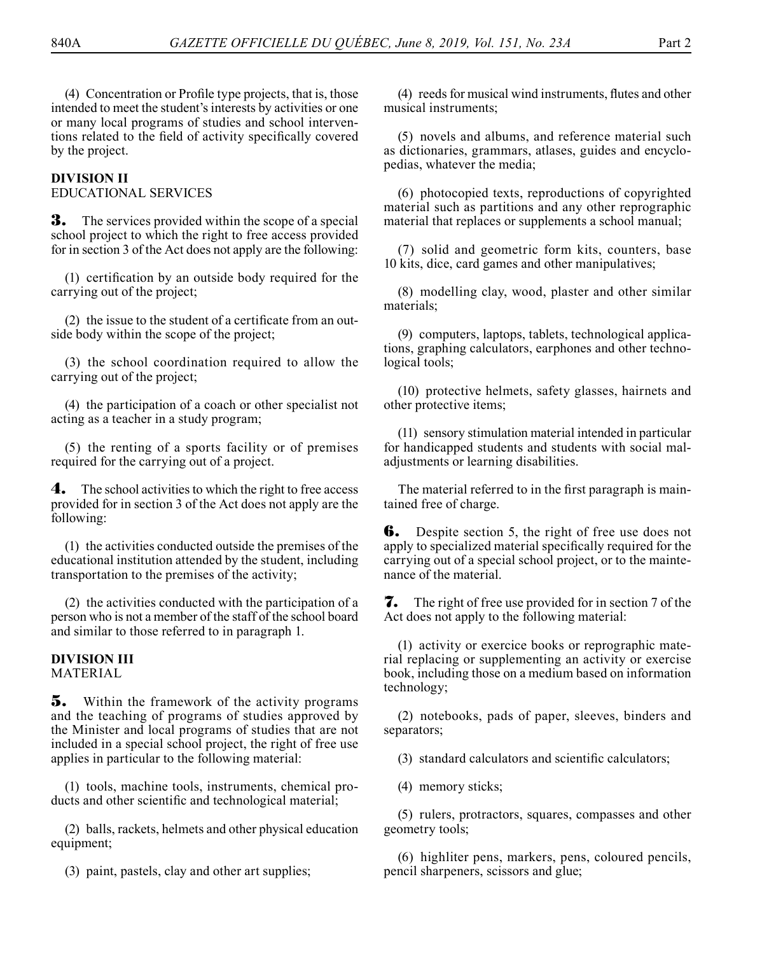(4) Concentration or Profile type projects, that is, those intended to meet the student's interests by activities or one or many local programs of studies and school interventions related to the field of activity specifically covered by the project.

### **DIVISION II**

EDUCATIONAL SERVICES

**3.** The services provided within the scope of a special school project to which the right to free access provided for in section 3 of the Act does not apply are the following:

(1) certification by an outside body required for the carrying out of the project;

(2) the issue to the student of a certificate from an outside body within the scope of the project;

(3) the school coordination required to allow the carrying out of the project;

(4) the participation of a coach or other specialist not acting as a teacher in a study program;

(5) the renting of a sports facility or of premises required for the carrying out of a project.

4. The school activities to which the right to free access provided for in section 3 of the Act does not apply are the following:

(1) the activities conducted outside the premises of the educational institution attended by the student, including transportation to the premises of the activity;

(2) the activities conducted with the participation of a person who is not a member of the staff of the school board and similar to those referred to in paragraph 1.

#### **DIVISION III**

**MATERIAL** 

5. Within the framework of the activity programs and the teaching of programs of studies approved by the Minister and local programs of studies that are not included in a special school project, the right of free use applies in particular to the following material:

(1) tools, machine tools, instruments, chemical products and other scientific and technological material;

(2) balls, rackets, helmets and other physical education equipment;

(3) paint, pastels, clay and other art supplies;

(4) reeds for musical wind instruments, flutes and other musical instruments;

(5) novels and albums, and reference material such as dictionaries, grammars, atlases, guides and encyclopedias, whatever the media;

(6) photocopied texts, reproductions of copyrighted material such as partitions and any other reprographic material that replaces or supplements a school manual;

(7) solid and geometric form kits, counters, base 10 kits, dice, card games and other manipulatives;

(8) modelling clay, wood, plaster and other similar materials;

(9) computers, laptops, tablets, technological applications, graphing calculators, earphones and other technological tools;

(10) protective helmets, safety glasses, hairnets and other protective items;

(11) sensory stimulation material intended in particular for handicapped students and students with social maladjustments or learning disabilities.

The material referred to in the first paragraph is maintained free of charge.

**6.** Despite section 5, the right of free use does not apply to specialized material specifically required for the carrying out of a special school project, or to the maintenance of the material.

7. The right of free use provided for in section 7 of the Act does not apply to the following material:

(1) activity or exercice books or reprographic material replacing or supplementing an activity or exercise book, including those on a medium based on information technology;

(2) notebooks, pads of paper, sleeves, binders and separators;

(3) standard calculators and scientific calculators;

(4) memory sticks;

(5) rulers, protractors, squares, compasses and other geometry tools;

(6) highliter pens, markers, pens, coloured pencils, pencil sharpeners, scissors and glue;